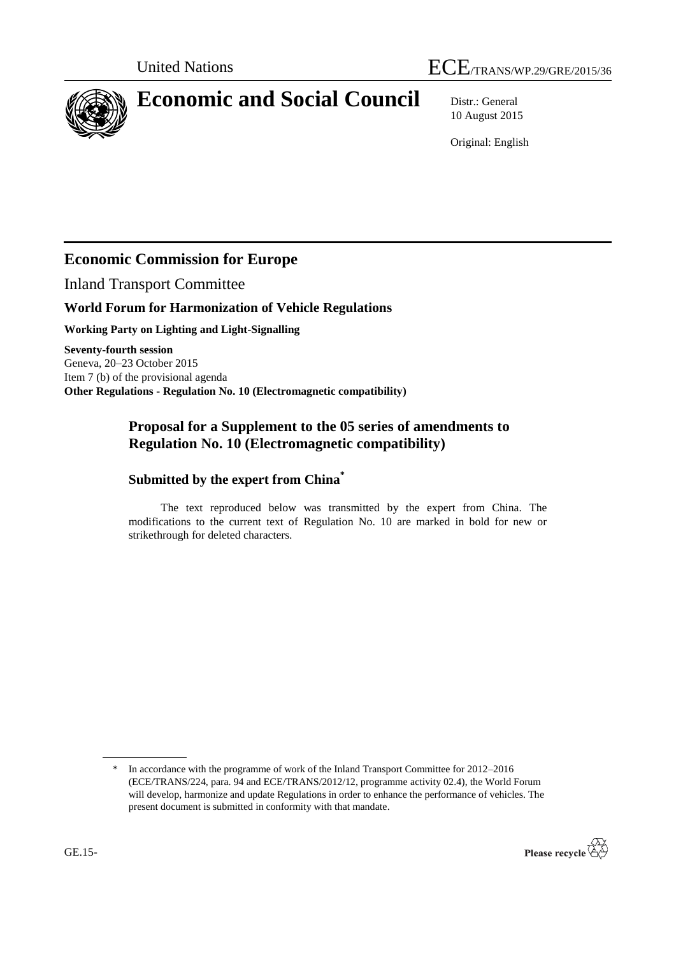

# **Economic and Social Council** Distr.: General

10 August 2015

Original: English

## **Economic Commission for Europe**

Inland Transport Committee

## **World Forum for Harmonization of Vehicle Regulations**

**Working Party on Lighting and Light-Signalling**

**Seventy-fourth session** Geneva, 20–23 October 2015 Item 7 (b) of the provisional agenda **Other Regulations - Regulation No. 10 (Electromagnetic compatibility)**

## **Proposal for a Supplement to the 05 series of amendments to Regulation No. 10 (Electromagnetic compatibility)**

### **Submitted by the expert from China\***

The text reproduced below was transmitted by the expert from China. The modifications to the current text of Regulation No. 10 are marked in bold for new or strikethrough for deleted characters.

In accordance with the programme of work of the Inland Transport Committee for 2012–2016 (ECE/TRANS/224, para. 94 and ECE/TRANS/2012/12, programme activity 02.4), the World Forum will develop, harmonize and update Regulations in order to enhance the performance of vehicles. The present document is submitted in conformity with that mandate.

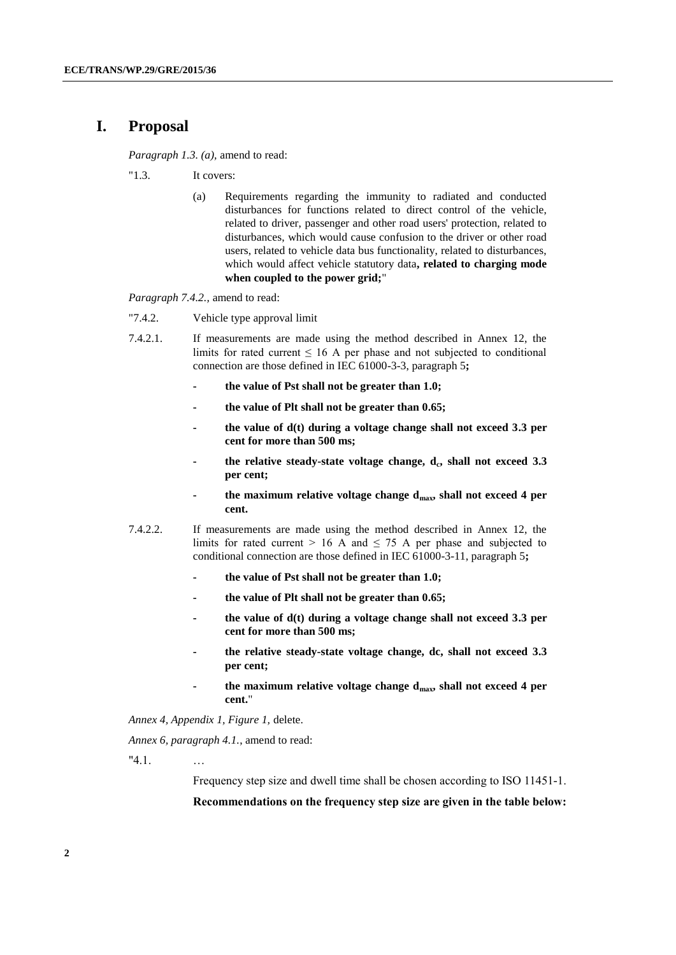#### **I. Proposal**

*Paragraph 1.3. (a), amend to read:* 

- "1.3. It covers:
	- (a) Requirements regarding the immunity to radiated and conducted disturbances for functions related to direct control of the vehicle, related to driver, passenger and other road users' protection, related to disturbances, which would cause confusion to the driver or other road users, related to vehicle data bus functionality, related to disturbances, which would affect vehicle statutory data**, related to charging mode when coupled to the power grid;**"

*Paragraph 7.4.2.,* amend to read:

- "7.4.2. Vehicle type approval limit
- 7.4.2.1. If measurements are made using the method described in Annex 12, the limits for rated current  $\leq 16$  A per phase and not subjected to conditional connection are those defined in IEC 61000-3-3, paragraph 5**;**
	- **- the value of Pst shall not be greater than 1.0;**
	- **- the value of Plt shall not be greater than 0.65;**
	- **- the value of d(t) during a voltage change shall not exceed 3.3 per cent for more than 500 ms;**
	- **the relative steady-state voltage change, d<sub>c</sub>, shall not exceed 3.3 per cent;**
	- **- the maximum relative voltage change dmax, shall not exceed 4 per cent.**
- 7.4.2.2. If measurements are made using the method described in Annex 12, the limits for rated current > 16 A and  $\leq$  75 A per phase and subjected to conditional connection are those defined in IEC 61000-3-11, paragraph 5**;**
	- **- the value of Pst shall not be greater than 1.0;**
	- **- the value of Plt shall not be greater than 0.65;**
	- **- the value of d(t) during a voltage change shall not exceed 3.3 per cent for more than 500 ms;**
	- **- the relative steady-state voltage change, dc, shall not exceed 3.3 per cent;**
	- **- the maximum relative voltage change dmax, shall not exceed 4 per cent.**"

*Annex 4, Appendix 1, Figure 1,* delete.

*Annex 6, paragraph 4.1.*, amend to read:

"4.1. …

Frequency step size and dwell time shall be chosen according to ISO 11451-1.

**Recommendations on the frequency step size are given in the table below:**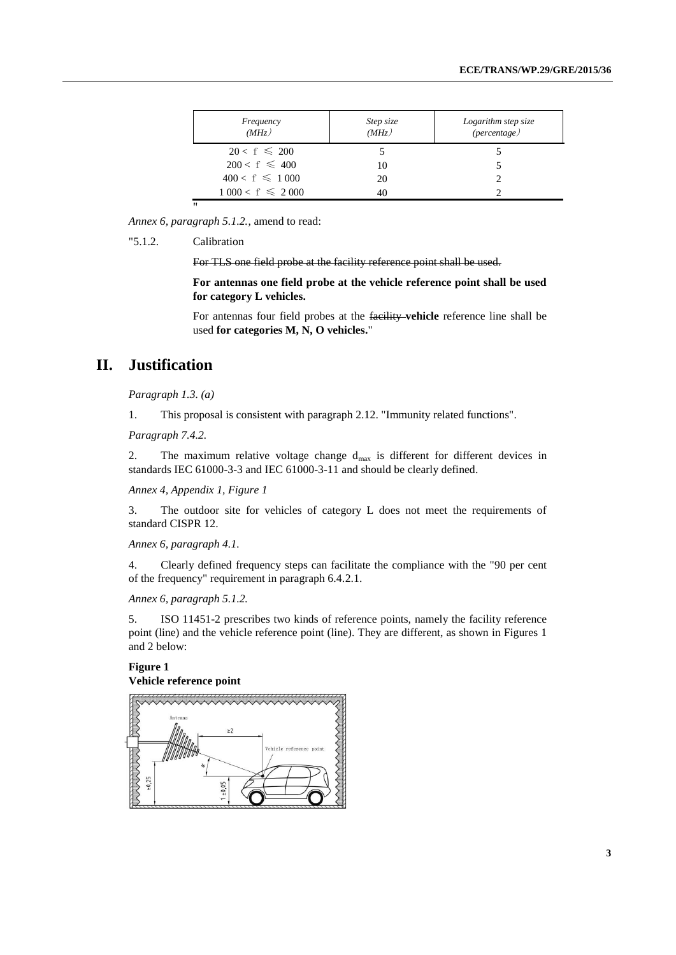| Frequency<br>(MHz)  | Step size<br>(MHz) | Logarithm step size<br>(percentage) |
|---------------------|--------------------|-------------------------------------|
| $20 < f \le 200$    |                    |                                     |
| $200 < f \leq 400$  | 10                 |                                     |
| $400 < f \leq 1000$ | 20                 |                                     |
| $1000 < f \le 2000$ | 40                 |                                     |
| "                   |                    |                                     |

*Annex 6, paragraph 5.1.2.*, amend to read:

#### "5.1.2. Calibration

For TLS one field probe at the facility reference point shall be used.

**For antennas one field probe at the vehicle reference point shall be used for category L vehicles.**

For antennas four field probes at the facility **vehicle** reference line shall be used **for categories M, N, O vehicles.**"

### **II. Justification**

*Paragraph 1.3. (a)*

1. This proposal is consistent with paragraph 2.12. "Immunity related functions".

*Paragraph 7.4.2.*

2. The maximum relative voltage change  $d_{max}$  is different for different devices in standards IEC 61000-3-3 and IEC 61000-3-11 and should be clearly defined.

*Annex 4, Appendix 1, Figure 1*

3. The outdoor site for vehicles of category L does not meet the requirements of standard CISPR 12.

*Annex 6, paragraph 4.1.*

4. Clearly defined frequency steps can facilitate the compliance with the "90 per cent of the frequency" requirement in paragraph 6.4.2.1.

*Annex 6, paragraph 5.1.2.*

5. ISO 11451-2 prescribes two kinds of reference points, namely the facility reference point (line) and the vehicle reference point (line). They are different, as shown in Figures 1 and 2 below:

#### **Figure 1 Vehicle reference point**